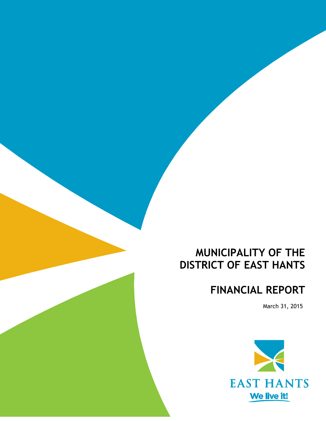# **MUNICIPALITY OF THE DISTRICT OF EAST HANTS**

# **FINANCIAL REPORT**

March 31, 2015

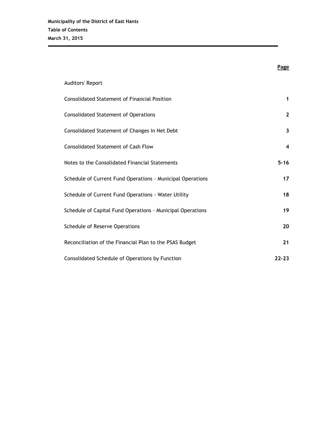| Auditors' Report                                           |                |
|------------------------------------------------------------|----------------|
| <b>Consolidated Statement of Financial Position</b>        | 1              |
| <b>Consolidated Statement of Operations</b>                | $\overline{2}$ |
| Consolidated Statement of Changes in Net Debt              | 3              |
| <b>Consolidated Statement of Cash Flow</b>                 | 4              |
| Notes to the Consolidated Financial Statements             | $5 - 16$       |
| Schedule of Current Fund Operations - Municipal Operations | 17             |
| Schedule of Current Fund Operations - Water Utility        | 18             |
| Schedule of Capital Fund Operations - Municipal Operations | 19             |
| Schedule of Reserve Operations                             | 20             |
| Reconciliation of the Financial Plan to the PSAS Budget    | 21             |
| Consolidated Schedule of Operations by Function            | $22 - 23$      |

**Page**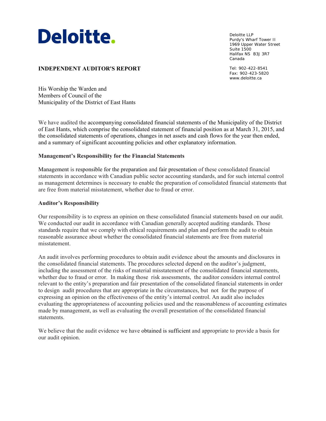

Deloitte LLP Purdy's Wharf Tower II 1969 Upper Water Street Suite 1500 Halifax NS B3J 3R7 Canada

Tel: 902-422-8541 Fax: 902-423-5820 www.deloitte.ca

# **INDEPENDENT AUDITOR'S REPORT**

His Worship the Warden and Members of Council of the Municipality of the District of East Hants

We have audited the accompanying consolidated financial statements of the Municipality of the District of East Hants, which comprise the consolidated statement of financial position as at March 31, 2015, and the consolidated statements of operations, changes in net assets and cash flows for the year then ended, and a summary of significant accounting policies and other explanatory information.

# **Management's Responsibility for the Financial Statements**

Management is responsible for the preparation and fair presentation of these consolidated financial statements in accordance with Canadian public sector accounting standards, and for such internal control as management determines is necessary to enable the preparation of consolidated financial statements that are free from material misstatement, whether due to fraud or error.

# **Auditor's Responsibility**

Our responsibility is to express an opinion on these consolidated financial statements based on our audit. We conducted our audit in accordance with Canadian generally accepted auditing standards. Those standards require that we comply with ethical requirements and plan and perform the audit to obtain reasonable assurance about whether the consolidated financial statements are free from material misstatement.

An audit involves performing procedures to obtain audit evidence about the amounts and disclosures in the consolidated financial statements. The procedures selected depend on the auditor's judgment, including the assessment of the risks of material misstatement of the consolidated financial statements, whether due to fraud or error. In making those risk assessments, the auditor considers internal control relevant to the entity's preparation and fair presentation of the consolidated financial statements in order to design audit procedures that are appropriate in the circumstances, but not for the purpose of expressing an opinion on the effectiveness of the entity's internal control. An audit also includes evaluating the appropriateness of accounting policies used and the reasonableness of accounting estimates made by management, as well as evaluating the overall presentation of the consolidated financial statements.

We believe that the audit evidence we have obtained is sufficient and appropriate to provide a basis for our audit opinion.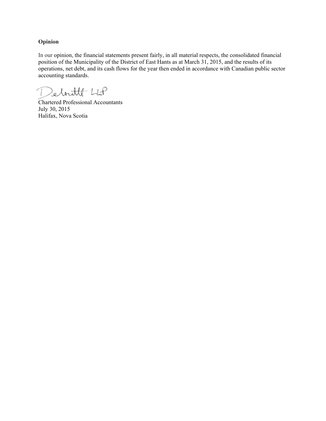# **Opinion**

In our opinion, the financial statements present fairly, in all material respects, the consolidated financial position of the Municipality of the District of East Hants as at March 31, 2015, and the results of its operations, net debt, and its cash flows for the year then ended in accordance with Canadian public sector accounting standards.

Schoutter LLP

Chartered Professional Accountants July 30, 2015 Halifax, Nova Scotia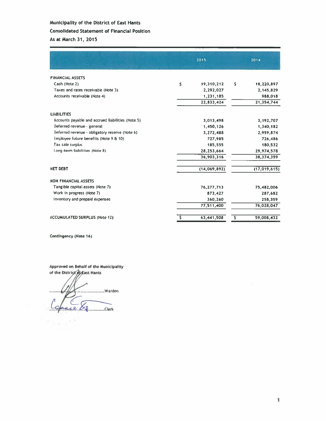# Municipality of the District of East Hants **Consolidated Statement of Financial Position**

As at March 31, 2015

|                                                   | 2015             | 2014             |  |  |
|---------------------------------------------------|------------------|------------------|--|--|
| <b>FINANCIAL ASSETS</b>                           |                  |                  |  |  |
| Cash (Note 2)                                     | \$<br>19,310,212 | \$<br>18,220,897 |  |  |
| Taxes and rates receivable (Note 3)               | 2,292,027        | 2,145,829        |  |  |
| Accounts receivable (Note 4)                      | 1,231,185        | 988,018          |  |  |
|                                                   | 22,833,424       | 21,354,744       |  |  |
| <b>LIABILITIES</b>                                |                  |                  |  |  |
| Accounts payable and accrued liabilities (Note 5) | 3,013,498        | 3,192,707        |  |  |
| Deferred revenue - general                        | 1,450,126        | 1,340,182        |  |  |
| Deferred revenue - obligatory reserve (Note 6)    | 3,272,488        | 2.959,874        |  |  |
| Employee future benefits (Note 9 & 10)            | 727.985          | 726,486          |  |  |
| Tax sale surplus                                  | 185,555          | 180,532          |  |  |
| Long-term liabilities (Note 8)                    | 28,253,664       | 29,974,578       |  |  |
|                                                   | 36,903,316       | 38,374,359       |  |  |
| <b>NET DEBT</b>                                   | (14,069,892)     | (17, 019, 615)   |  |  |
| <b>NON FINANCIAL ASSETS</b>                       |                  |                  |  |  |
| Tangible capital assets (Note 7)                  | 76,277,713       | 75,482,006       |  |  |
| Work in progress (Note 7)                         | 873,427          | 287,682          |  |  |
| Inventory and prepaid expenses                    | 360,260          | 258,359          |  |  |
|                                                   | 77,511,400       | 76,028,047       |  |  |
| <b>ACCUMULATED SURPLUS (Note 12)</b>              | 63,441,508<br>\$ | \$<br>59,008,432 |  |  |

Contingency (Note 16)

ny <sub>na</sub>vô

Approved on Behalf of the Municipality of the District of East Hants

June 84 Clerk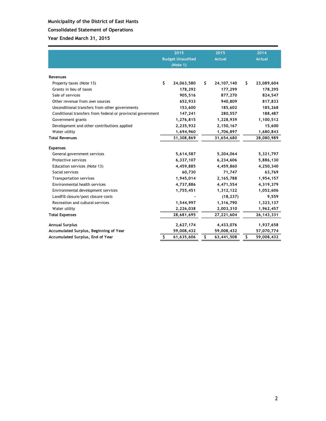# **Consolidated Statement of Operations**

|                                                             | 2015<br><b>Budget Unaudited</b><br>(Note 1) |            |    | 2015<br><b>Actual</b> |    | 2014<br><b>Actual</b> |
|-------------------------------------------------------------|---------------------------------------------|------------|----|-----------------------|----|-----------------------|
| Revenues                                                    |                                             |            |    |                       |    |                       |
| Property taxes (Note 13)                                    | \$                                          | 24,063,580 | \$ | 24, 107, 140          | S. | 23,089,604            |
| Grants in lieu of taxes                                     |                                             | 178,292    |    | 177,299               |    | 178,295               |
| Sale of services                                            |                                             | 905,516    |    | 877,270               |    | 824,547               |
| Other revenue from own sources                              |                                             | 652,933    |    | 940,809               |    | 817,833               |
| Unconditional transfers from other governments              |                                             | 153,600    |    | 185,602               |    | 185,268               |
| Conditional transfers from federal or provincial government |                                             | 147,241    |    | 280,557               |    | 188,487               |
| Government grants                                           |                                             | 1,276,815  |    | 1,228,939             |    | 1,100,512             |
| Development and other contributions applied                 |                                             | 2,235,932  |    | 2,150,167             |    | 15,600                |
| Water utility                                               |                                             | 1,694,960  |    | 1,706,897             |    | 1,680,843             |
| <b>Total Revenues</b>                                       |                                             | 31,308,869 |    | 31,654,680            |    | 28,080,989            |
| <b>Expenses</b>                                             |                                             |            |    |                       |    |                       |
| General government services                                 |                                             | 5,614,587  |    | 5,204,064             |    | 5,321,797             |
| Protective services                                         |                                             | 6,337,107  |    | 6,234,606             |    | 5,886,130             |
| Education services (Note 13)                                |                                             | 4,459,885  |    | 4,459,860             |    | 4,250,340             |
| Social services                                             |                                             | 60,730     |    | 71,747                |    | 63,769                |
| Transportation services                                     |                                             | 1,945,014  |    | 2,165,788             |    | 1,954,157             |
| Environmental health services                               |                                             | 4,737,886  |    | 4,471,554             |    | 4,319,379             |
| Environmental development services                          |                                             | 1,755,451  |    | 1,312,122             |    | 1,052,606             |
| Landfill closure/post closure costs                         |                                             |            |    | (18, 237)             |    | 9,559                 |
| Recreation and cultural services                            |                                             | 1,544,997  |    | 1,316,790             |    | 1,323,137             |
| Water utility                                               |                                             | 2,226,038  |    | 2,003,310             |    | 1,962,457             |
| <b>Total Expenses</b>                                       |                                             | 28,681,695 |    | 27,221,604            |    | 26, 143, 331          |
| <b>Annual Surplus</b>                                       |                                             | 2,627,174  |    | 4,433,076             |    | 1,937,658             |
| Accumulated Surplus, Beginning of Year                      |                                             | 59,008,432 |    | 59,008,432            |    | 57,070,774            |
| Accumulated Surplus, End of Year                            | \$                                          | 61,635,606 | \$ | 63,441,508            | \$ | 59,008,432            |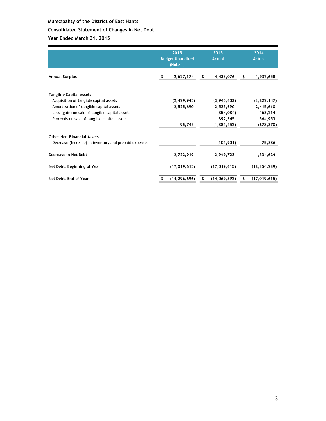# **Consolidated Statement of Changes in Net Debt**

|                                                                                                                                                                                                                      |    | 2015<br><b>Budget Unaudited</b><br>(Note 1) |     | 2015<br><b>Actual</b>                                                |    | 2014<br><b>Actual</b>                                        |
|----------------------------------------------------------------------------------------------------------------------------------------------------------------------------------------------------------------------|----|---------------------------------------------|-----|----------------------------------------------------------------------|----|--------------------------------------------------------------|
| <b>Annual Surplus</b>                                                                                                                                                                                                | -S | 2,627,174                                   | \$. | 4,433,076                                                            | S. | 1,937,658                                                    |
| <b>Tangible Capital Assets</b><br>Acquisition of tangible capital assets<br>Amortization of tangible capital assets<br>Loss (gain) on sale of tangible capital assets<br>Proceeds on sale of tangible capital assets |    | (2, 429, 945)<br>2,525,690<br>95,745        |     | (3, 945, 403)<br>2,525,690<br>(354, 084)<br>392,345<br>(1, 381, 452) |    | (3,822,147)<br>2,415,610<br>163,214<br>564,953<br>(678, 370) |
| <b>Other Non-Financial Assets</b><br>Decrease (Increase) in inventory and prepaid expenses                                                                                                                           |    |                                             |     | (101, 901)                                                           |    | 75,336                                                       |
| Decrease in Net Debt                                                                                                                                                                                                 |    | 2,722,919                                   |     | 2,949,723                                                            |    | 1,334,624                                                    |
| Net Debt, Beginning of Year                                                                                                                                                                                          |    | (17, 019, 615)                              |     | (17, 019, 615)                                                       |    | (18, 354, 239)                                               |
| Net Debt, End of Year                                                                                                                                                                                                | Ś  | (14, 296, 696)                              | Ś   | (14,069,892)                                                         | Ŝ. | (17, 019, 615)                                               |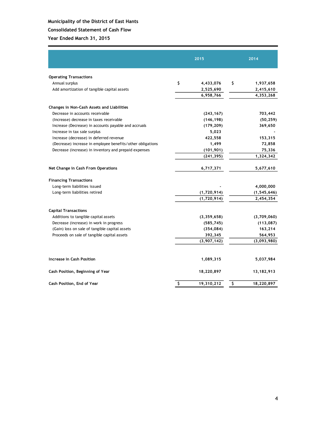# **Consolidated Statement of Cash Flow**

|                                                            | 2015             | 2014 |               |
|------------------------------------------------------------|------------------|------|---------------|
| <b>Operating Transactions</b>                              |                  |      |               |
| Annual surplus                                             | \$<br>4,433,076  | \$   | 1,937,658     |
| Add amortization of tangible capital assets                | 2,525,690        |      | 2,415,610     |
|                                                            | 6,958,766        |      | 4,353,268     |
| Changes in Non-Cash Assets and Liabilities                 |                  |      |               |
| Decrease in accounts receivable                            | (243, 167)       |      | 703,442       |
| (Increase) decrease in taxes receivable                    | (146, 198)       |      | (50, 259)     |
| Increase (Decrease) in accounts payable and accruals       | (179, 209)       |      | 369,650       |
| Increase in tax sale surplus                               | 5,023            |      |               |
| Increase (decrease) in deferred revenue                    | 422,558          |      | 153,315       |
| (Decrease) increase in employee benefits/other obligations | 1,499            |      | 72,858        |
| Decrease (increase) in inventory and prepaid expenses      | (101, 901)       |      | 75,336        |
|                                                            | (241, 395)       |      | 1,324,342     |
| Net Change in Cash From Operations                         | 6,717,371        |      | 5,677,610     |
| <b>Financing Transactions</b>                              |                  |      |               |
| Long-term liabilities issued                               |                  |      | 4,000,000     |
| Long-term liabilities retired                              | (1,720,914)      |      | (1, 545, 646) |
|                                                            | (1,720,914)      |      | 2,454,354     |
| <b>Capital Transactions</b>                                |                  |      |               |
| Additions to tangible capital assets                       | (3,359,658)      |      | (3,709,060)   |
| Decrease (increase) in work in progress                    | (585, 745)       |      | (113,087)     |
| (Gain) loss on sale of tangible capital assets             | (354, 084)       |      | 163,214       |
| Proceeds on sale of tangible capital assets                | 392,345          |      | 564,953       |
|                                                            | (3,907,142)      |      | (3,093,980)   |
| <b>Increase in Cash Position</b>                           | 1,089,315        |      | 5,037,984     |
| Cash Position, Beginning of Year                           | 18,220,897       |      | 13,182,913    |
| Cash Position, End of Year                                 | \$<br>19,310,212 | \$   | 18,220,897    |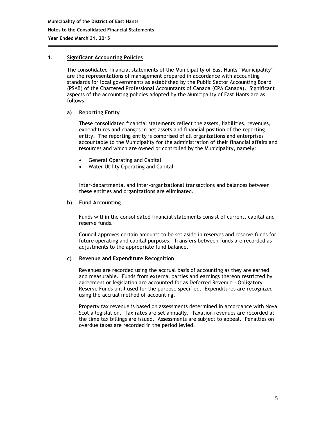## 1. **Significant Accounting Policies**

The consolidated financial statements of the Municipality of East Hants "Municipality" are the representations of management prepared in accordance with accounting standards for local governments as established by the Public Sector Accounting Board (PSAB) of the Chartered Professional Accountants of Canada (CPA Canada). Significant aspects of the accounting policies adopted by the Municipality of East Hants are as follows:

## **a) Reporting Entity**

These consolidated financial statements reflect the assets, liabilities, revenues, expenditures and changes in net assets and financial position of the reporting entity. The reporting entity is comprised of all organizations and enterprises accountable to the Municipality for the administration of their financial affairs and resources and which are owned or controlled by the Municipality, namely:

- General Operating and Capital
- Water Utility Operating and Capital

Inter-departmental and inter-organizational transactions and balances between these entities and organizations are eliminated.

### **b) Fund Accounting**

Funds within the consolidated financial statements consist of current, capital and reserve funds.

Council approves certain amounts to be set aside in reserves and reserve funds for future operating and capital purposes. Transfers between funds are recorded as adjustments to the appropriate fund balance.

### **c) Revenue and Expenditure Recognition**

Revenues are recorded using the accrual basis of accounting as they are earned and measurable. Funds from external parties and earnings thereon restricted by agreement or legislation are accounted for as Deferred Revenue - Obligatory Reserve Funds until used for the purpose specified. Expenditures are recognized using the accrual method of accounting.

Property tax revenue is based on assessments determined in accordance with Nova Scotia legislation. Tax rates are set annually. Taxation revenues are recorded at the time tax billings are issued. Assessments are subject to appeal. Penalties on overdue taxes are recorded in the period levied.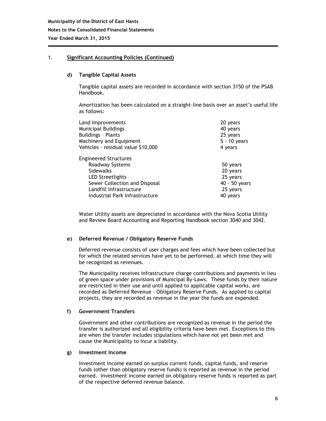## 1. **Significant Accounting Policies (Continued)**

## **d) Tangible Capital Assets**

Tangible capital assets are recorded in accordance with section 3150 of the PSAB Handbook.

Amortization has been calculated on a straight-line basis over an asset's useful life as follows:

| 20 years      |
|---------------|
| 40 years      |
| 25 years      |
| 5 - 10 years  |
| 4 years       |
|               |
| 50 years      |
| 20 years      |
| 25 years      |
| 40 - 50 years |
| 25 years      |
| 40 years      |
|               |

Water Utility assets are depreciated in accordance with the Nova Scotia Utility and Review Board Accounting and Reporting Handbook section 3040 and 3042.

### **e) Deferred Revenue / Obligatory Reserve Funds**

Deferred revenue consists of user charges and fees which have been collected but for which the related services have yet to be performed, at which time they will be recognized as revenues.

The Municipality receives infrastructure charge contributions and payments in lieu of green space under provisions of Municipal By-Laws. These funds by their nature are restricted in their use and until applied to applicable capital works, are recorded as Deferred Revenue - Obligatory Reserve Funds. As applied to capital projects, they are recorded as revenue in the year the funds are expended.

# **f) Government Transfers**

Government and other contributions are recognized as revenue in the period the transfer is authorized and all eligibility criteria have been met. Exceptions to this are when the transfer includes stipulations which have not yet been met and cause the Municipality to incur a liability.

### **g) Investment Income**

Investment income earned on surplus current funds, capital funds, and reserve funds (other than obligatory reserve funds) is reported as revenue in the period earned. Investment income earned on obligatory reserve funds is reported as part of the respective deferred revenue balance.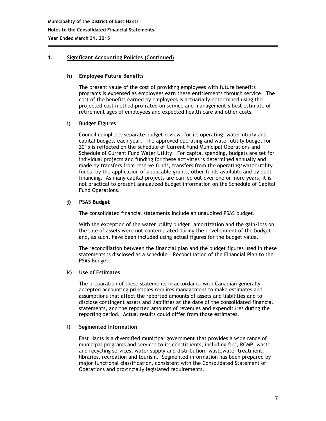## 1. **Significant Accounting Policies (Continued)**

### **h) Employee Future Benefits**

The present value of the cost of providing employees with future benefits programs is expensed as employees earn these entitlements through service. The cost of the benefits earned by employees is actuarially determined using the projected cost method pro-rated on service and management's best estimate of retirement ages of employees and expected health care and other costs.

## **i) Budget Figures**

Council completes separate budget reviews for its operating, water utility and capital budgets each year. The approved operating and water utility budget for 2015 is reflected on the Schedule of Current Fund Municipal Operations and Schedule of Current Fund Water Utility. For capital spending, budgets are set for individual projects and funding for these activities is determined annually and made by transfers from reserve funds, transfers from the operating/water utility funds, by the application of applicable grants, other funds available and by debt financing. As many capital projects are carried out over one or more years, it is not practical to present annualized budget information on the Schedule of Capital Fund Operations.

## **j) PSAS Budget**

The consolidated financial statements include an unaudited PSAS budget.

With the exception of the water utility budget, amortization and the gain/loss on the sale of assets were not contemplated during the development of the budget and, as such, have been included using actual figures for the budget value.

The reconciliation between the financial plan and the budget figures used in these statements is disclosed as a schedule – Reconciliation of the Financial Plan to the PSAS Budget.

### **k) Use of Estimates**

The preparation of these statements in accordance with Canadian generally accepted accounting principles requires management to make estimates and assumptions that affect the reported amounts of assets and liabilities and to disclose contingent assets and liabilities at the date of the consolidated financial statements, and the reported amounts of revenues and expenditures during the reporting period. Actual results could differ from those estimates.

### **l) Segmented Information**

East Hants is a diversified municipal government that provides a wide range of municipal programs and services to its constituents, including fire, RCMP, waste and recycling services, water supply and distribution, wastewater treatment, libraries, recreation and tourism. Segmented information has been prepared by major functional classification, consistent with the Consolidated Statement of Operations and provincially legislated requirements.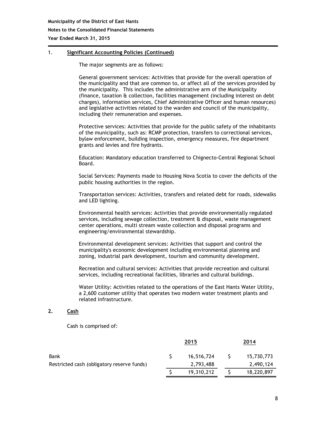## 1. **Significant Accounting Policies (Continued)**

The major segments are as follows:

General government services: Activities that provide for the overall operation of the municipality and that are common to, or affect all of the services provided by the municipality. This includes the administrative arm of the Municipality (finance, taxation & collection, facilities management (including interest on debt charges), information services, Chief Administrative Officer and human resources) and legislative activities related to the warden and council of the municipality, including their remuneration and expenses.

Protective services: Activities that provide for the public safety of the inhabitants of the municipality, such as: RCMP protection, transfers to correctional services, bylaw enforcement, building inspection, emergency measures, fire department grants and levies and fire hydrants.

Education: Mandatory education transferred to Chignecto-Central Regional School Board.

Social Services: Payments made to Housing Nova Scotia to cover the deficits of the public housing authorities in the region.

Transportation services: Activities, transfers and related debt for roads, sidewalks and LED lighting.

Environmental health services: Activities that provide environmentally regulated services, including sewage collection, treatment & disposal, waste management center operations, multi stream waste collection and disposal programs and engineering/environmental stewardship.

Environmental development services: Activities that support and control the municipality's economic development including environmental planning and zoning, industrial park development, tourism and community development.

Recreation and cultural services: Activities that provide recreation and cultural services, including recreational facilities, libraries and cultural buildings.

Water Utility: Activities related to the operations of the East Hants Water Utility, a 2,600 customer utility that operates two modern water treatment plants and related infrastructure.

## **2. Cash**

Cash is comprised of:

|                                            | 2015       | 2014 |            |  |
|--------------------------------------------|------------|------|------------|--|
| Bank                                       | 16,516,724 |      | 15,730,773 |  |
| Restricted cash (obligatory reserve funds) | 2,793,488  |      | 2,490,124  |  |
|                                            | 19,310,212 |      | 18,220,897 |  |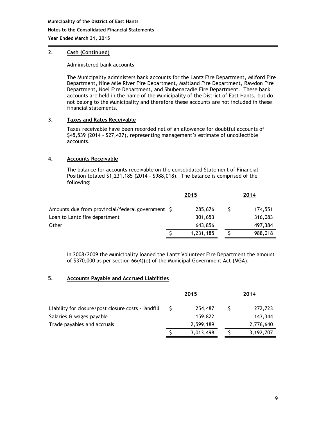## **Notes to the Consolidated Financial Statements**

**Year Ended March 31, 2015**

# **2. Cash (Continued)**

Administered bank accounts

The Municipality administers bank accounts for the Lantz Fire Department, Milford Fire Department, Nine Mile River Fire Department, Maitland Fire Department, Rawdon Fire Department, Noel Fire Department, and Shubenacadie Fire Department. These bank accounts are held in the name of the Municipality of the District of East Hants, but do not belong to the Municipality and therefore these accounts are not included in these financial statements.

# **3. Taxes and Rates Receivable**

Taxes receivable have been recorded net of an allowance for doubtful accounts of \$45,539 (2014 - \$27,427), representing management's estimate of uncollectible accounts.

# **4. Accounts Receivable**

The balance for accounts receivable on the consolidated Statement of Financial Position totaled \$1,231,185 (2014 - \$988,018). The balance is comprised of the following:

|                                                   | 2015      | 2014 |         |  |
|---------------------------------------------------|-----------|------|---------|--|
| Amounts due from provincial/federal government \$ | 285,676   |      | 174,551 |  |
| Loan to Lantz fire department                     | 301,653   |      | 316,083 |  |
| Other                                             | 643,856   |      | 497.384 |  |
|                                                   | 1,231,185 |      | 988,018 |  |

In 2008/2009 the Municipality loaned the Lantz Volunteer Fire Department the amount of \$370,000 as per section 66(4)(e) of the Municipal Government Act (MGA).

# **5. Accounts Payable and Accrued Liabilities**

| Liability for closure/post closure costs - landfill |  | 2015      | 2014      |
|-----------------------------------------------------|--|-----------|-----------|
|                                                     |  | 254,487   | 272,723   |
| Salaries & wages payable                            |  | 159,822   | 143,344   |
| Trade payables and accruals                         |  | 2,599,189 | 2,776,640 |
|                                                     |  | 3,013,498 | 3,192,707 |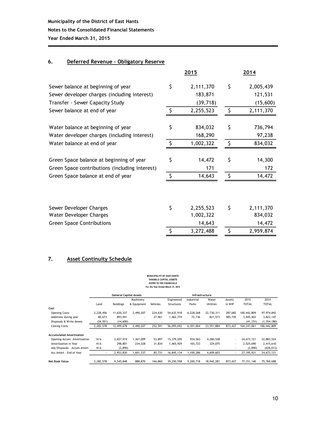# **Municipality of the District of East Hants Notes to the Consolidated Financial Statements Year Ended March 31, 2015**

# **6. Deferred Revenue – Obligatory Reserve**

|                                                |                    | 2015      | 2014    |           |  |
|------------------------------------------------|--------------------|-----------|---------|-----------|--|
| Sewer balance at beginning of year             | \$                 | 2,111,370 | \$      | 2,005,439 |  |
| Sewer developer charges (including interest)   |                    | 183,871   |         | 121,531   |  |
| Transfer - Sewer Capacity Study                |                    | (39, 718) |         | (15,600)  |  |
| Sewer balance at end of year                   | Ŝ                  | 2,255,523 | \$      | 2,111,370 |  |
|                                                |                    |           |         |           |  |
| Water balance at beginning of year             | \$                 | 834,032   | \$      | 736,794   |  |
| Water developer charges (including interest)   |                    | 168,290   |         | 97,238    |  |
| Water balance at end of year                   | $\mathsf{\hat{S}}$ | 1,002,322 | $\zeta$ | 834,032   |  |
|                                                |                    |           |         |           |  |
| Green Space balance at beginning of year       | \$                 | 14,472    | \$      | 14,300    |  |
| Green Space contributions (including interest) |                    | 171       |         | 172       |  |
| Green Space balance at end of year             | $\zeta$            | 14,643    | $\zeta$ | 14,472    |  |
|                                                |                    |           |         |           |  |
| Sewer Developer Charges                        | \$                 | 2,255,523 | \$      | 2,111,370 |  |
| Water Developer Charges                        |                    | 1,002,322 |         | 834,032   |  |
| <b>Green Space Contributions</b>               |                    | 14,643    |         | 14,472    |  |
|                                                | \$                 | 3,272,488 | \$      | 2,959,874 |  |

# **7. Asset Continuity Schedule**

|                                 |           |                               |             | <b>MUNICIPALITY OF EAST HANTS</b><br><b>TANGIBLE CAPITAL ASSETS</b><br><b>NOTES TO THE FINANCIALS</b><br>For the Year Ended March 31, 2015 |                                                     |                |                  |         |              |               |
|---------------------------------|-----------|-------------------------------|-------------|--------------------------------------------------------------------------------------------------------------------------------------------|-----------------------------------------------------|----------------|------------------|---------|--------------|---------------|
|                                 |           | <b>General Capital Assets</b> |             |                                                                                                                                            |                                                     | Infrastructure |                  |         |              |               |
|                                 |           |                               | Machinery   |                                                                                                                                            | 2015<br>Industrial<br>Water<br>Engineered<br>Assets |                |                  |         |              | 2014          |
|                                 | Land      | <b>Buildings</b>              | & Equipment | <b>Vehicles</b>                                                                                                                            | <b>Structures</b>                                   | Parks          | <b>Utilities</b> | in WIP  | <b>TOTAL</b> | <b>TOTAL</b>  |
| Cost                            |           |                               |             |                                                                                                                                            |                                                     |                |                  |         |              |               |
| <b>Opening Costs</b>            | 2,228,456 | 11,620,337                    | 2,490,207   | 224,630                                                                                                                                    | 54,632,918                                          | 6,228,268      | 22,730,311       | 287,682 | 100,442,809  | 97,974,842    |
| Additions during year           | 80,673    | 893,941                       | $\sim$      | 27,961                                                                                                                                     | 1,462,774                                           | 72,736         | 821,573          | 585,745 | 3,945,403    | 3,822,147     |
| Disposals & Write downs         | (26, 551) | (14, 600)                     |             |                                                                                                                                            |                                                     |                |                  |         | (41, 151)    | (1, 354, 180) |
| <b>Closing Costs</b>            | 2,282,578 | 12,499,678                    | 2,490,207   | 252,591                                                                                                                                    | 56,095,692                                          | 6,301,004      | 23,551,884       | 873,427 | 104,347,061  | 100,442,809   |
| <b>Accumulated Amortization</b> |           |                               |             |                                                                                                                                            |                                                     |                |                  |         |              |               |
| Opening Accum. Amortization     | N/A       | 2,657,919                     | 1,367,009   | 53,897                                                                                                                                     | 15,379,205                                          | 934,563        | 4,280,528        |         | 24,673,121   | 22,883,524    |
| Amortization in Year            | N/A       | 298,801                       | 234,328     | 31,834                                                                                                                                     | 1,465,929                                           | 165,723        | 329,075          | ٠       | 2,525,690    | 2,415,610     |
| Adj/Disposals - Accum Amort     | N/A       | (2,890)                       |             |                                                                                                                                            |                                                     |                |                  |         | (2,890)      | (626, 013)    |
| Acc Amort - End of Year         |           | 2,953,830                     | 1,601,337   | 85,731                                                                                                                                     | 16,845,134                                          | 1,100,286      | 4,609,603        |         | 27, 195, 921 | 24,673,121    |
| <b>Net Book Value</b>           | 2,282,578 | 9,545,848                     | 888,870     | 166,860                                                                                                                                    | 39,250,558                                          | 5,200,718      | 18,942,281       | 873,427 | 77,151,140   | 75,769,688    |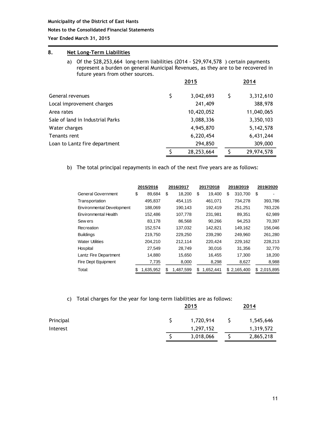### **Notes to the Consolidated Financial Statements**

**Year Ended March 31, 2015**

# **8. Net Long-Term Liabilities**

a) Of the \$28,253,664 long-term liabilities (2014 - \$29,974,578 ) certain payments represent a burden on general Municipal Revenues, as they are to be recovered in future years from other sources.

|                                  | 2015            |   | 2014        |
|----------------------------------|-----------------|---|-------------|
| General revenues                 | \$<br>3,042,693 | S | 3,312,610   |
| Local improvement charges        | 241,409         |   | 388,978     |
| Area rates                       | 10,420,052      |   | 11,040,065  |
| Sale of land in Industrial Parks | 3,088,336       |   | 3,350,103   |
| Water charges                    | 4,945,870       |   | 5, 142, 578 |
| Tenants rent                     | 6,220,454       |   | 6,431,244   |
| Loan to Lantz fire department    | 294,850         |   | 309,000     |
|                                  | 28,253,664      |   | 29,974,578  |

b) The total principal repayments in each of the next five years are as follows:

|                                  | 2015/2016    |   | 2016/2017 |    | 2017/2018 |   | 2018/2019   | 2019/2020   |
|----------------------------------|--------------|---|-----------|----|-----------|---|-------------|-------------|
| General Government               | \$<br>89.684 | S | 18,200    | \$ | 19.400    | S | 310,700     | \$          |
| Transportation                   | 495,837      |   | 454,115   |    | 461,071   |   | 734,278     | 393,786     |
| <b>Environmental Development</b> | 188,069      |   | 190,143   |    | 192,419   |   | 251,251     | 783,226     |
| Environmental Health             | 152,486      |   | 107,778   |    | 231,981   |   | 89,351      | 62,989      |
| Sew ers                          | 83,178       |   | 86.568    |    | 90.266    |   | 94.253      | 70,397      |
| Recreation                       | 152,574      |   | 137,032   |    | 142.821   |   | 149.162     | 156,046     |
| <b>Buildings</b>                 | 219,750      |   | 229.250   |    | 239.290   |   | 249.960     | 261,280     |
| <b>Water Utilities</b>           | 204,210      |   | 212,114   |    | 220,424   |   | 229,162     | 228,213     |
| Hospital                         | 27,549       |   | 28,749    |    | 30,016    |   | 31,356      | 32,770      |
| Lantz Fire Department            | 14,880       |   | 15,650    |    | 16,455    |   | 17,300      | 18,200      |
| Fire Dept Equipment              | 7,735        |   | 8,000     |    | 8,298     |   | 8,627       | 8,988       |
| Total:                           | 1,635,952    | S | 1,487,599 | S  | 1,652,441 |   | \$2,165,400 | \$2,015,895 |

c) Total charges for the year for long-term liabilities are as follows:

|           | 2015      |  |           |
|-----------|-----------|--|-----------|
| Principal | 1,720,914 |  | 1,545,646 |
| Interest  | 1,297,152 |  | 1,319,572 |
|           | 3,018,066 |  | 2,865,218 |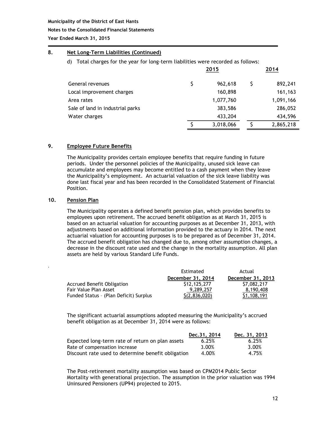#### **Notes to the Consolidated Financial Statements**

**Year Ended March 31, 2015**

# **8. Net Long-Term Liabilities (Continued)**

d) Total charges for the year for long-term liabilities were recorded as follows:

|                                  | 2015 |           |  | 2014      |  |
|----------------------------------|------|-----------|--|-----------|--|
| General revenues                 | \$   | 962,618   |  | 892,241   |  |
| Local improvement charges        |      | 160,898   |  | 161,163   |  |
| Area rates                       |      | 1,077,760 |  | 1,091,166 |  |
| Sale of land in industrial parks |      | 383,586   |  | 286,052   |  |
| Water charges                    |      | 433,204   |  | 434,596   |  |
|                                  |      | 3,018,066 |  | 2,865,218 |  |

# **9. Employee Future Benefits**

The Municipality provides certain employee benefits that require funding in future periods. Under the personnel policies of the Municipality, unused sick leave can accumulate and employees may become entitled to a cash payment when they leave the Municipality's employment. An actuarial valuation of the sick leave liability was done last fiscal year and has been recorded in the Consolidated Statement of Financial Position.

# **10. Pension Plan**

.

The Municipality operates a defined benefit pension plan, which provides benefits to employees upon retirement. The accrued benefit obligation as at March 31, 2015 is based on an actuarial valuation for accounting purposes as at December 31, 2013, with adjustments based on additional information provided to the actuary in 2014. The next actuarial valuation for accounting purposes is to be prepared as of December 31, 2014. The accrued benefit obligation has changed due to, among other assumption changes, a decrease in the discount rate used and the change in the mortality assumption. All plan assets are held by various Standard Life Funds.

|                                        | Estimated         | Actual            |
|----------------------------------------|-------------------|-------------------|
|                                        | December 31, 2014 | December 31, 2013 |
| Accrued Benefit Obligation             | \$12,125,277      | \$7,082,217       |
| Fair Value Plan Asset                  | 9,289,257         | 8,190,408         |
| Funded Status - (Plan Deficit) Surplus | \$(2,836,020)     | \$1,108,191       |

The significant actuarial assumptions adopted measuring the Municipality's accrued benefit obligation as at December 31, 2014 were as follows:

|                                                    | Dec. 31, 2014 | Dec. 31, 2013 |
|----------------------------------------------------|---------------|---------------|
| Expected long-term rate of return on plan assets   | 6.25%         | 6.25%         |
| Rate of compensation increase                      | 3.00%         | 3.00%         |
| Discount rate used to determine benefit obligation | 4.00%         | 4.75%         |

The Post-retirement mortality assumption was based on CPM2014 Public Sector Mortality with generational projection. The assumption in the prior valuation was 1994 Uninsured Pensioners (UP94) projected to 2015.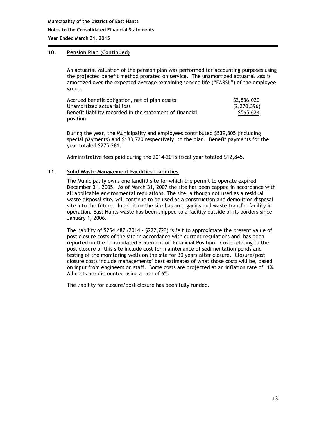#### **Notes to the Consolidated Financial Statements**

**Year Ended March 31, 2015**

# **10. Pension Plan (Continued)**

An actuarial valuation of the pension plan was performed for accounting purposes using the projected benefit method prorated on service. The unamortized actuarial loss is amortized over the expected average remaining service life ("EARSL") of the employee group.

| Accrued benefit obligation, net of plan assets           | \$2,836,020   |
|----------------------------------------------------------|---------------|
| Unamortized actuarial loss                               | (2, 270, 396) |
| Benefit liability recorded in the statement of financial | \$565,624     |
| position                                                 |               |

During the year, the Municipality and employees contributed \$539,805 (including special payments) and \$183,720 respectively, to the plan. Benefit payments for the year totaled \$275,281.

Administrative fees paid during the 2014-2015 fiscal year totaled \$12,845.

## **11. Solid Waste Management Facilities Liabilities**

The Municipality owns one landfill site for which the permit to operate expired December 31, 2005. As of March 31, 2007 the site has been capped in accordance with all applicable environmental regulations. The site, although not used as a residual waste disposal site, will continue to be used as a construction and demolition disposal site into the future. In addition the site has an organics and waste transfer facility in operation. East Hants waste has been shipped to a facility outside of its borders since January 1, 2006.

The liability of \$254,487 (2014 - \$272,723) is felt to approximate the present value of post closure costs of the site in accordance with current regulations and has been reported on the Consolidated Statement of Financial Position. Costs relating to the post closure of this site include cost for maintenance of sedimentation ponds and testing of the monitoring wells on the site for 30 years after closure. Closure/post closure costs include managements' best estimates of what those costs will be, based on input from engineers on staff. Some costs are projected at an inflation rate of .1%. All costs are discounted using a rate of 6%.

The liability for closure/post closure has been fully funded.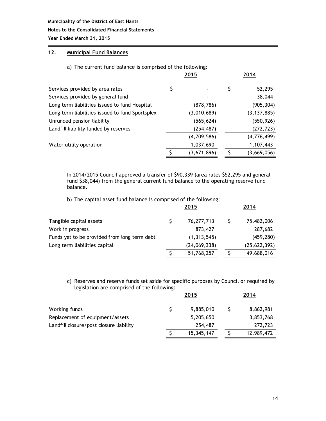#### **Notes to the Consolidated Financial Statements**

**Year Ended March 31, 2015**

# **12. Municipal Fund Balances**

### a) The current fund balance is comprised of the following:

|                                                 | 2015        | 2014          |
|-------------------------------------------------|-------------|---------------|
| Services provided by area rates                 | \$          | 52,295        |
| Services provided by general fund               |             | 38,044        |
| Long term liabilities issued to fund Hospital   | (878, 786)  | (905, 304)    |
| Long term liabilities issued to fund Sportsplex | (3,010,689) | (3, 137, 885) |
| Unfunded pension liability                      | (565, 624)  | (550, 926)    |
| Landfill liability funded by reserves           | (254, 487)  | (272, 723)    |
|                                                 | (4,709,586) | (4,776,499)   |
| Water utility operation                         | 1,037,690   | 1,107,443     |
|                                                 | (3,671,896) | (3,669,056)   |

In 2014/2015 Council approved a transfer of \$90,339 (area rates \$52,295 and general fund \$38,044) from the general current fund balance to the operating reserve fund balance.

b) The capital asset fund balance is comprised of the following:

|                                              |  | 2015         | 2014 |                |
|----------------------------------------------|--|--------------|------|----------------|
| Tangible capital assets                      |  | 76, 277, 713 |      | 75,482,006     |
| Work in progress                             |  | 873,427      |      | 287,682        |
| Funds yet to be provided from long term debt |  | (1,313,545)  |      | (459, 280)     |
| Long term liabilities capital                |  | (24,069,338) |      | (25, 622, 392) |
|                                              |  | 51,768,257   |      | 49,688,016     |

c) Reserves and reserve funds set aside for specific purposes by Council or required by legislation are comprised of the following:

|                                         | 2015       | 2014 |            |  |
|-----------------------------------------|------------|------|------------|--|
| Working funds                           | 9,885,010  |      | 8,862,981  |  |
| Replacement of equipment/assets         | 5,205,650  |      | 3,853,768  |  |
| Landfill closure/post closure liability | 254,487    |      | 272,723    |  |
|                                         | 15,345,147 |      | 12,989,472 |  |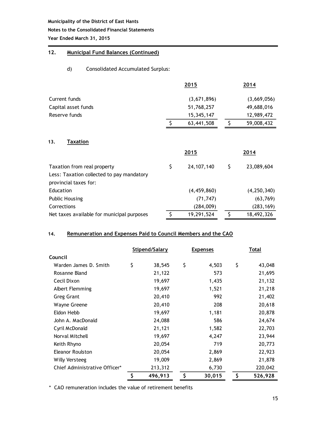### **Notes to the Consolidated Financial Statements**

**Year Ended March 31, 2015**

# **12. Municipal Fund Balances (Continued)**

# d) Consolidated Accumulated Surplus:

|                                            |    | 2015          |    | 2014          |
|--------------------------------------------|----|---------------|----|---------------|
| Current funds                              |    | (3,671,896)   |    | (3,669,056)   |
| Capital asset funds                        |    | 51,768,257    |    | 49,688,016    |
| Reserve funds                              |    | 15,345,147    |    | 12,989,472    |
|                                            | Ŝ  | 63,441,508    | Š. | 59,008,432    |
| Taxation<br>13.                            |    | 2015          |    | 2014          |
| Taxation from real property                | \$ | 24, 107, 140  | \$ | 23,089,604    |
| Less: Taxation collected to pay mandatory  |    |               |    |               |
| provincial taxes for:                      |    |               |    |               |
| Education                                  |    | (4, 459, 860) |    | (4, 250, 340) |
| <b>Public Housing</b>                      |    | (71, 747)     |    | (63, 769)     |
| Corrections                                |    | (284,009)     |    | (283, 169)    |
| Net taxes available for municipal purposes | \$ | 19,291,524    | \$ | 18,492,326    |

# **14. Remuneration and Expenses Paid to Council Members and the CAO**

|                               | Stipend/Salary |         | <b>Expenses</b> |        | Total |         |
|-------------------------------|----------------|---------|-----------------|--------|-------|---------|
| Council                       |                |         |                 |        |       |         |
| Warden James D. Smith         | \$             | 38,545  | \$              | 4,503  | \$    | 43,048  |
| Rosanne Bland                 |                | 21,122  |                 | 573    |       | 21,695  |
| Cecil Dixon                   |                | 19,697  |                 | 1,435  |       | 21,132  |
| Albert Flemming               |                | 19,697  |                 | 1,521  |       | 21,218  |
| Greg Grant                    |                | 20,410  |                 | 992    |       | 21,402  |
| Wayne Greene                  |                | 20,410  |                 | 208    |       | 20,618  |
| Eldon Hebb                    |                | 19,697  |                 | 1,181  |       | 20,878  |
| John A. MacDonald             |                | 24,088  |                 | 586    |       | 24,674  |
| Cyril McDonald                |                | 21,121  |                 | 1,582  |       | 22,703  |
| Norval Mitchell               |                | 19,697  |                 | 4,247  |       | 23,944  |
| Keith Rhyno                   |                | 20,054  |                 | 719    |       | 20,773  |
| <b>Eleanor Roulston</b>       |                | 20,054  |                 | 2,869  |       | 22,923  |
| Willy Versteeg                |                | 19,009  |                 | 2,869  |       | 21,878  |
| Chief Administrative Officer* |                | 213,312 |                 | 6,730  |       | 220,042 |
|                               |                | 496,913 | Ś               | 30,015 |       | 526,928 |

\* CAO remuneration includes the value of retirement benefits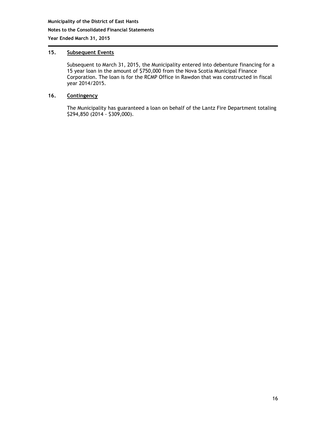**Year Ended March 31, 2015**

# **15. Subsequent Events**

Subsequent to March 31, 2015, the Municipality entered into debenture financing for a 15 year loan in the amount of \$750,000 from the Nova Scotia Municipal Finance Corporation. The loan is for the RCMP Office in Rawdon that was constructed in fiscal year 2014/2015.

## **16. Contingency**

The Municipality has guaranteed a loan on behalf of the Lantz Fire Department totaling \$294,850 (2014 - \$309,000).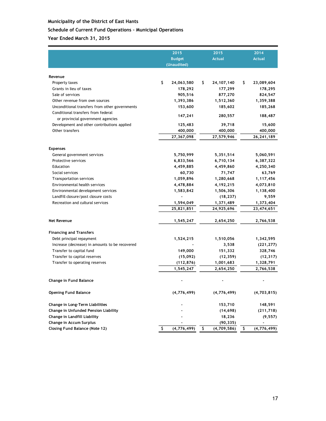# **Schedule of Current Fund Operations – Municipal Operations**

|                                                | 2015                        | 2015                           | 2014                        |
|------------------------------------------------|-----------------------------|--------------------------------|-----------------------------|
|                                                | <b>Budget</b>               | <b>Actual</b>                  | <b>Actual</b>               |
|                                                | (Unaudited)                 |                                |                             |
|                                                |                             |                                |                             |
| Revenue                                        |                             |                                |                             |
| Property taxes<br>Grants in lieu of taxes      | \$<br>24,063,580<br>178,292 | \$.<br>24, 107, 140<br>177,299 | S.<br>23,089,604<br>178,295 |
| Sale of services                               | 905,516                     | 877,270                        | 824,547                     |
| Other revenue from own sources                 | 1,393,386                   | 1,512,360                      | 1,359,388                   |
| Unconditional transfers from other governments | 153,600                     | 185,602                        | 185,268                     |
| Conditional transfers from federal             |                             |                                |                             |
| or provincial government agencies              | 147,241                     | 280,557                        | 188,487                     |
| Development and other contributions applied    | 125,483                     | 39,718                         | 15,600                      |
| Other transfers                                | 400,000                     | 400,000                        | 400,000                     |
|                                                | 27,367,098                  | 27,579,946                     | 26,241,189                  |
|                                                |                             |                                |                             |
| <b>Expenses</b><br>General government services | 5,750,999                   | 5,351,514                      | 5,060,591                   |
| Protective services                            | 6,833,566                   | 6,710,134                      | 6,387,322                   |
| Education                                      | 4,459,885                   | 4,459,860                      | 4,250,340                   |
| Social services                                | 60,730                      | 71,747                         | 63,769                      |
| <b>Transportation services</b>                 | 1,059,896                   | 1,280,668                      | 1,117,456                   |
| Environmental health services                  | 4,478,884                   | 4,192,215                      | 4,073,810                   |
| Environmental development services             | 1,583,842                   | 1,506,306                      | 1,138,400                   |
| Landfill closure/post closure costs            |                             | (18, 237)                      | 9,559                       |
| Recreation and cultural services               | 1,594,049                   | 1,371,489                      | 1,373,404                   |
|                                                | 25,821,851                  | 24,925,696                     | 23,474,651                  |
|                                                |                             |                                |                             |
| Net Revenue                                    | 1,545,247                   | 2,654,250                      | 2,766,538                   |
| <b>Financing and Transfers</b>                 |                             |                                |                             |
| Debt principal repayment                       | 1,524,215                   | 1,510,056                      | 1,342,595                   |
| Increase (decrease) in amounts to be recovered |                             | 3,538                          | (221, 277)                  |
| Transfer to capital fund                       | 149,000                     | 151,332                        | 328,746                     |
| Transfer to capital reserves                   | (15,092)                    | (12, 359)                      | (12, 317)                   |
| Transfer to operating reserves                 | (112, 876)                  | 1,001,683                      | 1,328,791                   |
|                                                | 1,545,247                   | 2,654,250                      | 2,766,538                   |
| <b>Change in Fund Balance</b>                  |                             |                                |                             |
| <b>Opening Fund Balance</b>                    | (4, 776, 499)               | (4, 776, 499)                  | (4,703,815)                 |
| Change in Long-Term Liabilities                |                             | 153,710                        | 148,591                     |
| Change in Unfunded Pension Liability           |                             | (14, 698)                      | (211,718)                   |
| Change in Landfill Liability                   |                             | 18,236                         | (9, 557)                    |
| Change in Accum Surplus                        |                             | (90, 335)                      |                             |
| Closing Fund Balance (Note 12)                 | (4,776,499)<br>Ş.           | (4,709,586)<br>Ş               | Ş.<br>(4, 776, 499)         |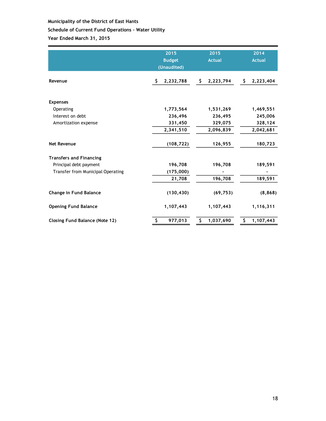# **Schedule of Current Fund Operations – Water Utility**

|                                       | 2015<br><b>Budget</b><br>(Unaudited) | 2015<br><b>Actual</b> | 2014<br><b>Actual</b> |
|---------------------------------------|--------------------------------------|-----------------------|-----------------------|
| Revenue                               | Ŝ<br>2,232,788                       | 2,223,794<br>S.       | 2,223,404<br>\$.      |
| <b>Expenses</b>                       |                                      |                       |                       |
| Operating                             | 1,773,564                            | 1,531,269             | 1,469,551             |
| Interest on debt                      | 236,496                              | 236,495               | 245,006               |
| Amortization expense                  | 331,450                              | 329,075               | 328,124               |
|                                       | 2,341,510                            | 2,096,839             | 2,042,681             |
| <b>Net Revenue</b>                    | (108, 722)                           | 126,955               | 180,723               |
| <b>Transfers and Financing</b>        |                                      |                       |                       |
| Principal debt payment                | 196,708                              | 196,708               | 189,591               |
| Transfer from Municipal Operating     | (175,000)                            |                       |                       |
|                                       | 21,708                               | 196,708               | 189,591               |
| <b>Change in Fund Balance</b>         | (130, 430)                           | (69, 753)             | (8, 868)              |
| <b>Opening Fund Balance</b>           | 1,107,443                            | 1,107,443             | 1,116,311             |
| <b>Closing Fund Balance (Note 12)</b> | \$<br>977,013                        | \$.<br>1,037,690      | \$<br>1,107,443       |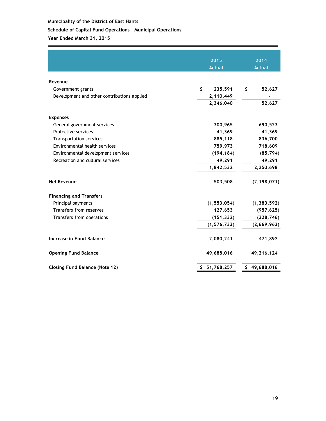# **Schedule of Capital Fund Operations – Municipal Operations**

|                                             | 2015<br><b>Actual</b> | 2014<br><b>Actual</b> |
|---------------------------------------------|-----------------------|-----------------------|
| Revenue                                     |                       |                       |
| Government grants                           | \$<br>235,591         | \$<br>52,627          |
| Development and other contributions applied | 2,110,449             |                       |
|                                             | 2,346,040             | 52,627                |
| <b>Expenses</b>                             |                       |                       |
| General government services                 | 300,965               | 690,523               |
| Protective services                         | 41,369                | 41,369                |
| <b>Transportation services</b>              | 885,118               | 836,700               |
| Environmental health services               | 759,973               | 718,609               |
| Environmental development services          | (194, 184)            | (85, 794)             |
| Recreation and cultural services            | 49,291                | 49,291                |
|                                             | 1,842,532             | 2,250,698             |
| <b>Net Revenue</b>                          | 503,508               | (2, 198, 071)         |
| <b>Financing and Transfers</b>              |                       |                       |
| Principal payments                          | (1, 553, 054)         | (1, 383, 592)         |
| Transfers from reserves                     | 127,653               | (957, 625)            |
| Transfers from operations                   | (151, 332)            | (328, 746)            |
|                                             | (1, 576, 733)         | (2,669,963)           |
| <b>Increase in Fund Balance</b>             | 2,080,241             | 471,892               |
| <b>Opening Fund Balance</b>                 | 49,688,016            | 49,216,124            |
| <b>Closing Fund Balance (Note 12)</b>       | \$51,768,257          | \$49,688,016          |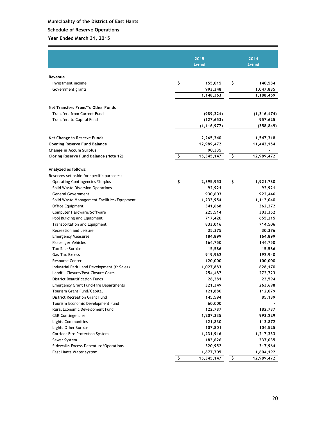# **Schedule of Reserve Operations**

|                                              | 2015             | 2014             |
|----------------------------------------------|------------------|------------------|
|                                              | <b>Actual</b>    | <b>Actual</b>    |
|                                              |                  |                  |
| Revenue                                      |                  |                  |
| Investment income                            | \$<br>155,015    | \$<br>140,584    |
| Government grants                            | 993,348          | 1,047,885        |
|                                              | 1,148,363        | 1,188,469        |
| Net Transfers From/To Other Funds            |                  |                  |
| <b>Transfers from Current Fund</b>           | (989, 324)       | (1,316,474)      |
| <b>Transfers to Capital Fund</b>             | (127, 653)       | 957,625          |
|                                              | (1, 116, 977)    | (358, 849)       |
| Net Change in Reserve Funds                  | 2,265,340        | 1,547,318        |
| Opening Reserve Fund Balance                 | 12,989,472       | 11,442,154       |
| Change in Accum Surplus                      | 90,335           |                  |
| Closing Reserve Fund Balance (Note 12)       | \$<br>15,345,147 | \$<br>12,989,472 |
|                                              |                  |                  |
| Analyzed as follows:                         |                  |                  |
| Reserves set aside for specific purposes:    |                  |                  |
| <b>Operating Contingencies/Surplus</b>       | \$<br>2,395,953  | \$<br>1,921,780  |
| Solid Waste Diversion Operations             | 92,921           | 92,921           |
| <b>General Government</b>                    | 930,603          | 922,446          |
| Solid Waste Management Facilities/Equipment  | 1,233,954        | 1,112,040        |
| Office Equipment                             | 341,668          | 362,272          |
| Computer Hardware/Software                   | 225,514          | 303,352          |
| Pool Building and Equipment                  | 717,420          | 655,215          |
| Transportation and Equipment                 | 833,016          | 714,506          |
| Recreation and Leisure                       | 35,375           | 30,376           |
| <b>Emergency Measures</b>                    | 184,899          | 164,899          |
| Passenger Vehicles                           | 164,750          | 144,750          |
| Tax Sale Surplus                             | 15,586           | 15,586           |
| <b>Gas Tax Excess</b>                        | 919,962          | 192,940          |
| <b>Resource Center</b>                       | 120,000          | 100,000          |
| Industrial Park Land Development (fr Sales)  | 1,027,883        | 628,170          |
| Landfill Closure/Post Closure Costs          | 254,487          | 272,723          |
| <b>District Beautification Funds</b>         | 28,381           | 23,594           |
| <b>Emergency Grant Fund-Fire Departments</b> | 321.349          | 263,698          |
| Tourism Grant Fund/Capital                   | 121,880          | 112,079          |
| District Recreation Grant Fund               | 145,594          | 85,189           |
| Tourism Economic Development Fund            | 60,000           |                  |
| Rural Economic Development Fund              | 122,787          | 182,787          |
| <b>CSR Contingencies</b>                     | 1,207,335        | 993,229          |
| <b>Lights Communities</b>                    | 121,830          | 113,872          |
| Lights Other Surplus                         | 107,801          | 104,525          |
| Corridor Fire Protection System              | 1,231,916        | 1,217,333        |
| Sewer System                                 | 183,626          | 337,035          |
| Sidewalks Excess Debenture/Operations        | 320,952          | 317,964          |
| East Hants Water system                      | 1,877,705        | 1,604,192        |
|                                              | \$<br>15,345,147 | \$<br>12,989,472 |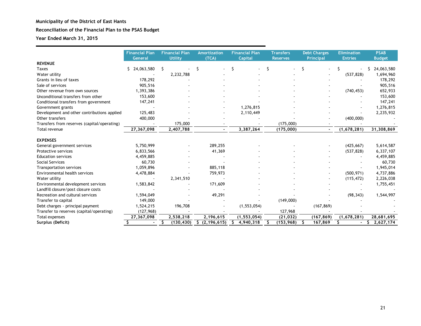# **Reconciliation of the Financial Plan to the PSAS Budget**

|                                             | <b>Financial Plan</b><br>General | <b>Financial Plan</b><br><b>Utility</b> | <b>Amortization</b><br>(TCA) | <b>Financial Plan</b><br><b>Capital</b> | <b>Transfers</b><br><b>Reserves</b> | <b>Debt Charges</b><br><b>Principal</b> | <b>Elimination</b><br><b>Entries</b> | <b>PSAB</b><br><b>Budget</b> |  |
|---------------------------------------------|----------------------------------|-----------------------------------------|------------------------------|-----------------------------------------|-------------------------------------|-----------------------------------------|--------------------------------------|------------------------------|--|
| <b>REVENUE</b>                              |                                  |                                         |                              |                                         |                                     |                                         |                                      |                              |  |
| <b>Taxes</b>                                | \$24,063,580                     | S.                                      | Ŝ                            | Ŝ                                       | S                                   | S                                       | S                                    | 24,063,580<br>S.             |  |
| Water utility                               |                                  | 2,232,788                               |                              |                                         |                                     |                                         | (537, 828)                           | 1,694,960                    |  |
| Grants in lieu of taxes                     | 178,292                          |                                         |                              |                                         |                                     |                                         |                                      | 178,292                      |  |
| Sale of services                            | 905,516                          |                                         |                              |                                         |                                     |                                         |                                      | 905,516                      |  |
| Other revenue from own sources              | 1,393,386                        |                                         |                              |                                         |                                     |                                         | (740, 453)                           | 652,933                      |  |
| Unconditional transfers from other          | 153,600                          |                                         |                              |                                         |                                     |                                         |                                      | 153,600                      |  |
| Conditional transfers from government       | 147,241                          |                                         |                              |                                         |                                     |                                         |                                      | 147,241                      |  |
| Government grants                           |                                  |                                         |                              | 1,276,815                               |                                     |                                         |                                      | 1,276,815                    |  |
| Development and other contributions applied | 125,483                          |                                         |                              | 2,110,449                               |                                     |                                         |                                      | 2,235,932                    |  |
| Other transfers                             | 400,000                          |                                         |                              |                                         |                                     |                                         | (400,000)                            |                              |  |
| Transfers from reserves (capital/operating) |                                  | 175,000                                 |                              |                                         | (175,000)                           |                                         |                                      |                              |  |
| Total revenue                               | 27,367,098                       | 2,407,788                               |                              | 3,387,264                               | (175,000)                           | $\blacksquare$                          | (1,678,281)                          | 31,308,869                   |  |
|                                             |                                  |                                         |                              |                                         |                                     |                                         |                                      |                              |  |
| <b>EXPENSES</b>                             |                                  |                                         |                              |                                         |                                     |                                         |                                      |                              |  |
| General government services                 | 5,750,999                        |                                         | 289,255                      |                                         |                                     |                                         | (425, 667)                           | 5,614,587                    |  |
| Protective services                         | 6,833,566                        |                                         | 41,369                       |                                         |                                     |                                         | (537, 828)                           | 6,337,107                    |  |
| <b>Education services</b>                   | 4,459,885                        |                                         |                              |                                         |                                     |                                         |                                      | 4,459,885                    |  |
| Social Services                             | 60,730                           |                                         |                              |                                         |                                     |                                         |                                      | 60,730                       |  |
| <b>Transportation services</b>              | 1,059,896                        |                                         | 885,118                      |                                         |                                     |                                         |                                      | 1,945,014                    |  |
| Environmental health services               | 4,478,884                        |                                         | 759,973                      |                                         |                                     |                                         | (500, 971)                           | 4,737,886                    |  |
| Water utility                               |                                  | 2,341,510                               |                              |                                         |                                     |                                         | (115, 472)                           | 2,226,038                    |  |
| Environmental development services          | 1,583,842                        |                                         | 171,609                      |                                         |                                     |                                         |                                      | 1,755,451                    |  |
| Landfill closure/post closure costs         |                                  |                                         |                              |                                         |                                     |                                         |                                      |                              |  |
| Recreation and cultural services            | 1,594,049                        |                                         | 49,291                       |                                         |                                     |                                         | (98, 343)                            | 1,544,997                    |  |
| Transfer to capital                         | 149,000                          |                                         |                              |                                         | (149,000)                           |                                         |                                      |                              |  |
| Debt charges - principal payment            | 1,524,215                        | 196,708                                 |                              | (1, 553, 054)                           |                                     | (167, 869)                              |                                      |                              |  |
| Transfer to reserves (capital/operating)    | (127, 968)                       |                                         |                              |                                         | 127,968                             |                                         |                                      |                              |  |
| Total expenses                              | 27,367,098                       | 2,538,218                               | 2,196,615                    | (1, 553, 054)                           | (21, 032)                           | (167, 869)                              | (1,678,281)                          | 28,681,695                   |  |
| Surplus (Deficit)                           |                                  | \$<br>(130, 430)                        | \$(2, 196, 615)              | 4,940,318                               | (153, 968)                          | 167,869<br>S.                           | Ŝ                                    | 2,627,174                    |  |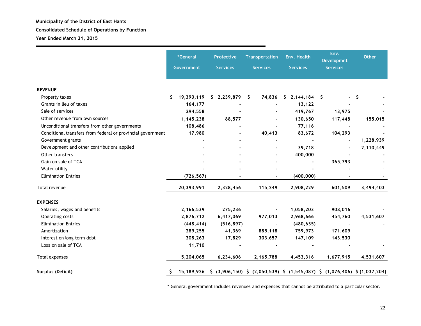# **Municipality of the District of East Hants Consolidated Schedule of Operations by Function**

**Year Ended March 31, 2015**

|                                                             |    | <i>*</i> General<br>Government | <b>Protective</b><br><b>Services</b> |             | <b>Transportation</b><br><b>Services</b> |                | Env. Health<br><b>Services</b> |                | Env.<br>Developmnt<br><b>Services</b>                                                                                             | <b>Other</b> |  |
|-------------------------------------------------------------|----|--------------------------------|--------------------------------------|-------------|------------------------------------------|----------------|--------------------------------|----------------|-----------------------------------------------------------------------------------------------------------------------------------|--------------|--|
| <b>REVENUE</b>                                              |    |                                |                                      |             |                                          |                |                                |                |                                                                                                                                   |              |  |
| Property taxes                                              | S. | 19,390,119                     |                                      | \$2,239,879 | S.                                       | 74,836         | - \$                           | $2,144,184$ \$ |                                                                                                                                   | - \$         |  |
| Grants in lieu of taxes                                     |    | 164,177                        |                                      |             |                                          |                |                                | 13,122         |                                                                                                                                   |              |  |
| Sale of services                                            |    | 294,558                        |                                      |             |                                          |                |                                | 419,767        | 13,975                                                                                                                            |              |  |
| Other revenue from own sources                              |    | 1,145,238                      |                                      | 88,577      |                                          |                |                                | 130,650        | 117,448                                                                                                                           | 155,015      |  |
| Unconditional transfers from other governments              |    | 108,486                        |                                      |             |                                          |                |                                | 77,116         |                                                                                                                                   |              |  |
| Conditional transfers from federal or provincial government |    | 17,980                         |                                      |             |                                          | 40,413         |                                | 83,672         | 104,293                                                                                                                           |              |  |
| Government grants                                           |    |                                |                                      |             |                                          |                |                                |                |                                                                                                                                   | 1,228,939    |  |
| Development and other contributions applied                 |    |                                |                                      |             |                                          |                |                                | 39,718         | $\blacksquare$                                                                                                                    | 2,110,449    |  |
| Other transfers                                             |    |                                |                                      |             |                                          |                |                                | 400,000        |                                                                                                                                   |              |  |
| Gain on sale of TCA                                         |    |                                |                                      |             |                                          |                |                                |                | 365,793                                                                                                                           |              |  |
| Water utility                                               |    |                                |                                      |             |                                          |                |                                |                |                                                                                                                                   |              |  |
| <b>Elimination Entries</b>                                  |    | (726, 567)                     |                                      |             |                                          |                |                                | (400, 000)     |                                                                                                                                   |              |  |
| Total revenue                                               |    | 20,393,991                     |                                      | 2,328,456   |                                          | 115,249        |                                | 2,908,229      | 601,509                                                                                                                           | 3,494,403    |  |
| <b>EXPENSES</b>                                             |    |                                |                                      |             |                                          |                |                                |                |                                                                                                                                   |              |  |
| Salaries, wages and benefits                                |    | 2,166,539                      |                                      | 275,236     |                                          | $\blacksquare$ |                                | 1,058,203      | 908,016                                                                                                                           |              |  |
| Operating costs                                             |    | 2,876,712                      |                                      | 6,417,069   |                                          | 977,013        |                                | 2,968,666      | 454,760                                                                                                                           | 4,531,607    |  |
| <b>Elimination Entries</b>                                  |    | (448, 414)                     |                                      | (516, 897)  |                                          |                |                                | (480, 635)     |                                                                                                                                   |              |  |
| Amortization                                                |    | 289,255                        |                                      | 41,369      |                                          | 885,118        |                                | 759,973        | 171,609                                                                                                                           |              |  |
| Interest on long term debt                                  |    | 308,263                        |                                      | 17,829      |                                          | 303,657        |                                | 147,109        | 143,530                                                                                                                           |              |  |
| Loss on sale of TCA                                         |    | 11,710                         |                                      |             |                                          |                |                                |                |                                                                                                                                   |              |  |
| Total expenses                                              |    | 5,204,065                      |                                      | 6,234,606   |                                          | 2,165,788      |                                | 4,453,316      | 1,677,915                                                                                                                         | 4,531,607    |  |
| Surplus (Deficit)                                           |    | 15,189,926                     |                                      |             |                                          |                |                                |                | $\frac{1}{2}$ (3,906,150) $\frac{1}{2}$ (2,050,539) $\frac{1}{2}$ (1,545,087) $\frac{1}{2}$ (1,076,406) $\frac{1}{2}$ (1,037,204) |              |  |

\* General government includes revenues and expenses that cannot be attributed to a particular sector.